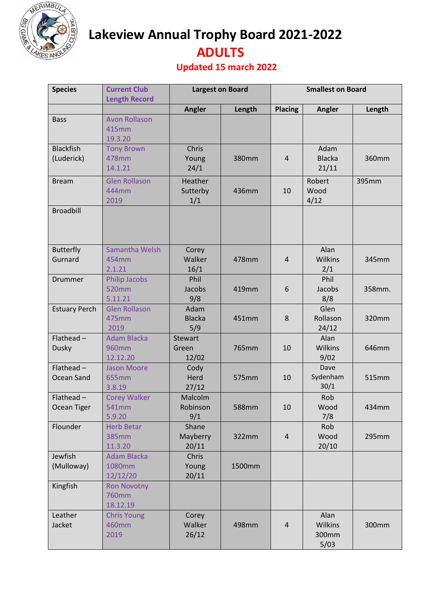

**Lakeview Annual Trophy Board 2021-2022** 

## **ADULTS**

## **Updated 15 march 2022**

| <b>Species</b>                 | <b>Current Club</b><br><b>Length Record</b>  | <b>Largest on Board</b>          |        | <b>Smallest on Board</b> |                                  |        |
|--------------------------------|----------------------------------------------|----------------------------------|--------|--------------------------|----------------------------------|--------|
|                                |                                              | Angler                           | Length | <b>Placing</b>           | Angler                           | Length |
| <b>Bass</b>                    | <b>Avon Rollason</b><br>415mm<br>19.3.20     |                                  |        |                          |                                  |        |
| <b>Blackfish</b><br>(Luderick) | <b>Tony Brown</b><br>478mm<br>14.1.21        | Chris<br>Young<br>24/1           | 380mm  | $\overline{4}$           | Adam<br><b>Blacka</b><br>21/11   | 360mm  |
| <b>Bream</b>                   | <b>Glen Rollason</b><br>444mm<br>2019        | Heather<br>Sutterby<br>1/1       | 436mm  | 10                       | Robert<br>Wood<br>4/12           | 395mm  |
| <b>Broadbill</b>               |                                              |                                  |        |                          |                                  |        |
| <b>Butterfly</b><br>Gurnard    | Samantha Welsh<br>454mm<br>2.1.21            | Corey<br>Walker<br>16/1          | 478mm  | 4                        | Alan<br>Wilkins<br>2/1           | 345mm  |
| Drummer                        | <b>Philip Jacobs</b><br>520mm<br>5.11.21     | Phil<br>Jacobs<br>9/8            | 419mm  | 6                        | Phil<br>Jacobs<br>8/8            | 358mm. |
| <b>Estuary Perch</b>           | <b>Glen Rollason</b><br>475mm<br>2019        | Adam<br><b>Blacka</b><br>5/9     | 451mm  | 8                        | Glen<br>Rollason<br>24/12        | 320mm  |
| $Flathead -$<br><b>Dusky</b>   | <b>Adam Blacka</b><br>960mm<br>12.12.20      | <b>Stewart</b><br>Green<br>12/02 | 765mm  | 10                       | Alan<br><b>Wilkins</b><br>9/02   | 646mm  |
| Flathead $-$<br>Ocean Sand     | <b>Jason Moore</b><br>655mm<br>3.8.19        | Cody<br>Herd<br>27/12            | 575mm  | 10                       | Dave<br>Sydenham<br>30/1         | 515mm  |
| Flathead $-$<br>Ocean Tiger    | <b>Corey Walker</b><br>541mm<br>5.9.20       | Malcolm<br>Robinson<br>9/1       | 588mm  | 10                       | Rob<br>Wood<br>7/8               | 434mm  |
| Flounder                       | <b>Herb Betar</b><br><b>385mm</b><br>11.3.20 | Shane<br>Mayberry<br>20/11       | 322mm  | $\overline{4}$           | Rob<br>Wood<br>20/10             | 295mm  |
| Jewfish<br>(Mulloway)          | <b>Adam Blacka</b><br>1080mm<br>12/12/20     | Chris<br>Young<br>20/11          | 1500mm |                          |                                  |        |
| Kingfish                       | <b>Ron Novotny</b><br>760mm<br>18.12.19      |                                  |        |                          |                                  |        |
| Leather<br>Jacket              | <b>Chris Young</b><br>460mm<br>2019          | Corey<br>Walker<br>26/12         | 498mm  | $\overline{4}$           | Alan<br>Wilkins<br>300mm<br>5/03 | 300mm  |